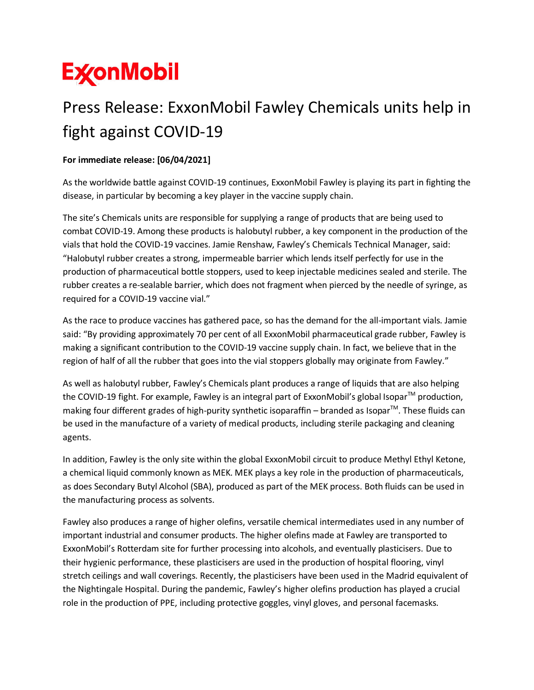## **ExconMobil**

## Press Release: ExxonMobil Fawley Chemicals units help in fight against COVID-19

## **For immediate release: [06/04/2021]**

As the worldwide battle against COVID-19 continues, ExxonMobil Fawley is playing its part in fighting the disease, in particular by becoming a key player in the vaccine supply chain.

The site's Chemicals units are responsible for supplying a range of products that are being used to combat COVID-19. Among these products is halobutyl rubber, a key component in the production of the vials that hold the COVID-19 vaccines. Jamie Renshaw, Fawley's Chemicals Technical Manager, said: "Halobutyl rubber creates a strong, impermeable barrier which lends itself perfectly for use in the production of pharmaceutical bottle stoppers, used to keep injectable medicines sealed and sterile. The rubber creates a re-sealable barrier, which does not fragment when pierced by the needle of syringe, as required for a COVID-19 vaccine vial."

As the race to produce vaccines has gathered pace, so has the demand for the all-important vials. Jamie said: "By providing approximately 70 per cent of all ExxonMobil pharmaceutical grade rubber, Fawley is making a significant contribution to the COVID-19 vaccine supply chain. In fact, we believe that in the region of half of all the rubber that goes into the vial stoppers globally may originate from Fawley."

As well as halobutyl rubber, Fawley's Chemicals plant produces a range of liquids that are also helping the COVID-19 fight. For example, Fawley is an integral part of ExxonMobil's global Isopar<sup>TM</sup> production, making four different grades of high-purity synthetic isoparaffin – branded as Isopar<sup>™</sup>. These fluids can be used in the manufacture of a variety of medical products, including sterile packaging and cleaning agents.

In addition, Fawley is the only site within the global ExxonMobil circuit to produce Methyl Ethyl Ketone, a chemical liquid commonly known as MEK. MEK plays a key role in the production of pharmaceuticals, as does Secondary Butyl Alcohol (SBA), produced as part of the MEK process. Both fluids can be used in the manufacturing process as solvents.

Fawley also produces a range of higher olefins, versatile chemical intermediates used in any number of important industrial and consumer products. The higher olefins made at Fawley are transported to ExxonMobil's Rotterdam site for further processing into alcohols, and eventually plasticisers. Due to their hygienic performance, these plasticisers are used in the production of hospital flooring, vinyl stretch ceilings and wall coverings. Recently, the plasticisers have been used in the Madrid equivalent of the Nightingale Hospital. During the pandemic, Fawley's higher olefins production has played a crucial role in the production of PPE, including protective goggles, vinyl gloves, and personal facemasks.